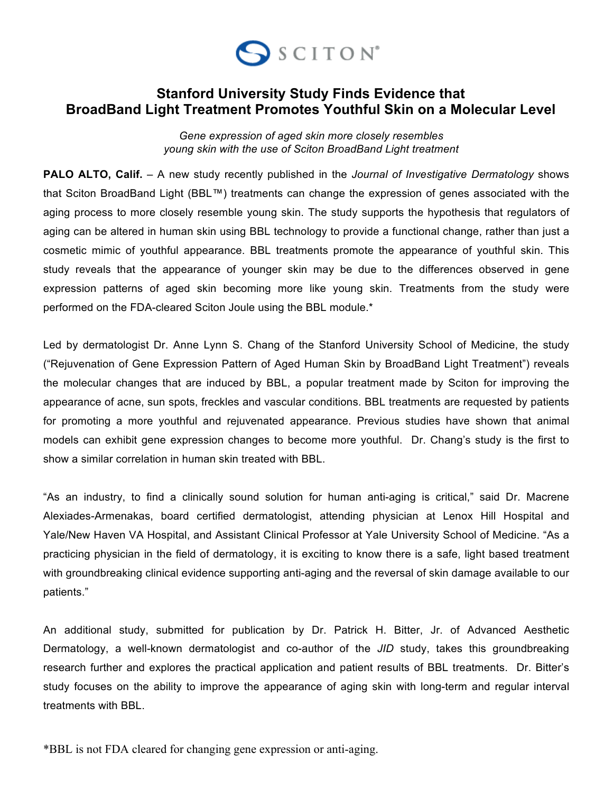

## **Stanford University Study Finds Evidence that BroadBand Light Treatment Promotes Youthful Skin on a Molecular Level**

*Gene expression of aged skin more closely resembles young skin with the use of Sciton BroadBand Light treatment*

**PALO ALTO, Calif.** – A new study recently published in the *Journal of Investigative Dermatology* shows that Sciton BroadBand Light (BBL™) treatments can change the expression of genes associated with the aging process to more closely resemble young skin. The study supports the hypothesis that regulators of aging can be altered in human skin using BBL technology to provide a functional change, rather than just a cosmetic mimic of youthful appearance. BBL treatments promote the appearance of youthful skin. This study reveals that the appearance of younger skin may be due to the differences observed in gene expression patterns of aged skin becoming more like young skin. Treatments from the study were performed on the FDA-cleared Sciton Joule using the BBL module.\*

Led by dermatologist Dr. Anne Lynn S. Chang of the Stanford University School of Medicine, the study ("Rejuvenation of Gene Expression Pattern of Aged Human Skin by BroadBand Light Treatment") reveals the molecular changes that are induced by BBL, a popular treatment made by Sciton for improving the appearance of acne, sun spots, freckles and vascular conditions. BBL treatments are requested by patients for promoting a more youthful and rejuvenated appearance. Previous studies have shown that animal models can exhibit gene expression changes to become more youthful. Dr. Chang's study is the first to show a similar correlation in human skin treated with BBL.

"As an industry, to find a clinically sound solution for human anti-aging is critical," said Dr. Macrene Alexiades-Armenakas, board certified dermatologist, attending physician at Lenox Hill Hospital and Yale/New Haven VA Hospital, and Assistant Clinical Professor at Yale University School of Medicine. "As a practicing physician in the field of dermatology, it is exciting to know there is a safe, light based treatment with groundbreaking clinical evidence supporting anti-aging and the reversal of skin damage available to our patients."

An additional study, submitted for publication by Dr. Patrick H. Bitter, Jr. of Advanced Aesthetic Dermatology, a well-known dermatologist and co-author of the *JID* study, takes this groundbreaking research further and explores the practical application and patient results of BBL treatments. Dr. Bitter's study focuses on the ability to improve the appearance of aging skin with long-term and regular interval treatments with BBL.

\*BBL is not FDA cleared for changing gene expression or anti-aging.